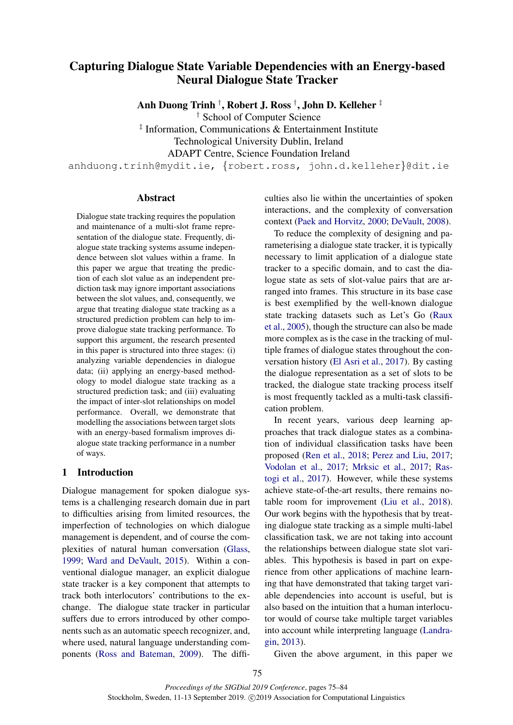# Capturing Dialogue State Variable Dependencies with an Energy-based Neural Dialogue State Tracker

Anh Duong Trinh † , Robert J. Ross † , John D. Kelleher ‡

† School of Computer Science

‡ Information, Communications & Entertainment Institute

Technological University Dublin, Ireland

ADAPT Centre, Science Foundation Ireland

anhduong.trinh@mydit.ie, {robert.ross, john.d.kelleher}@dit.ie

## Abstract

Dialogue state tracking requires the population and maintenance of a multi-slot frame representation of the dialogue state. Frequently, dialogue state tracking systems assume independence between slot values within a frame. In this paper we argue that treating the prediction of each slot value as an independent prediction task may ignore important associations between the slot values, and, consequently, we argue that treating dialogue state tracking as a structured prediction problem can help to improve dialogue state tracking performance. To support this argument, the research presented in this paper is structured into three stages: (i) analyzing variable dependencies in dialogue data; (ii) applying an energy-based methodology to model dialogue state tracking as a structured prediction task; and (iii) evaluating the impact of inter-slot relationships on model performance. Overall, we demonstrate that modelling the associations between target slots with an energy-based formalism improves dialogue state tracking performance in a number of ways.

## 1 Introduction

Dialogue management for spoken dialogue systems is a challenging research domain due in part to difficulties arising from limited resources, the imperfection of technologies on which dialogue management is dependent, and of course the complexities of natural human conversation [\(Glass,](#page-8-0) [1999;](#page-8-0) [Ward and DeVault,](#page-9-0) [2015\)](#page-9-0). Within a conventional dialogue manager, an explicit dialogue state tracker is a key component that attempts to track both interlocutors' contributions to the exchange. The dialogue state tracker in particular suffers due to errors introduced by other components such as an automatic speech recognizer, and, where used, natural language understanding components [\(Ross and Bateman,](#page-9-1) [2009\)](#page-9-1). The difficulties also lie within the uncertainties of spoken interactions, and the complexity of conversation context [\(Paek and Horvitz,](#page-8-1) [2000;](#page-8-1) [DeVault,](#page-8-2) [2008\)](#page-8-2).

To reduce the complexity of designing and parameterising a dialogue state tracker, it is typically necessary to limit application of a dialogue state tracker to a specific domain, and to cast the dialogue state as sets of slot-value pairs that are arranged into frames. This structure in its base case is best exemplified by the well-known dialogue state tracking datasets such as Let's Go [\(Raux](#page-9-2) [et al.,](#page-9-2) [2005\)](#page-9-2), though the structure can also be made more complex as is the case in the tracking of multiple frames of dialogue states throughout the conversation history [\(El Asri et al.,](#page-8-3) [2017\)](#page-8-3). By casting the dialogue representation as a set of slots to be tracked, the dialogue state tracking process itself is most frequently tackled as a multi-task classification problem.

In recent years, various deep learning approaches that track dialogue states as a combination of individual classification tasks have been proposed [\(Ren et al.,](#page-9-3) [2018;](#page-9-3) [Perez and Liu,](#page-8-4) [2017;](#page-8-4) [Vodolan et al.,](#page-9-4) [2017;](#page-9-4) [Mrksic et al.,](#page-8-5) [2017;](#page-8-5) [Ras](#page-8-6)[togi et al.,](#page-8-6) [2017\)](#page-8-6). However, while these systems achieve state-of-the-art results, there remains notable room for improvement [\(Liu et al.,](#page-8-7) [2018\)](#page-8-7). Our work begins with the hypothesis that by treating dialogue state tracking as a simple multi-label classification task, we are not taking into account the relationships between dialogue state slot variables. This hypothesis is based in part on experience from other applications of machine learning that have demonstrated that taking target variable dependencies into account is useful, but is also based on the intuition that a human interlocutor would of course take multiple target variables into account while interpreting language [\(Landra](#page-8-8)[gin,](#page-8-8) [2013\)](#page-8-8).

Given the above argument, in this paper we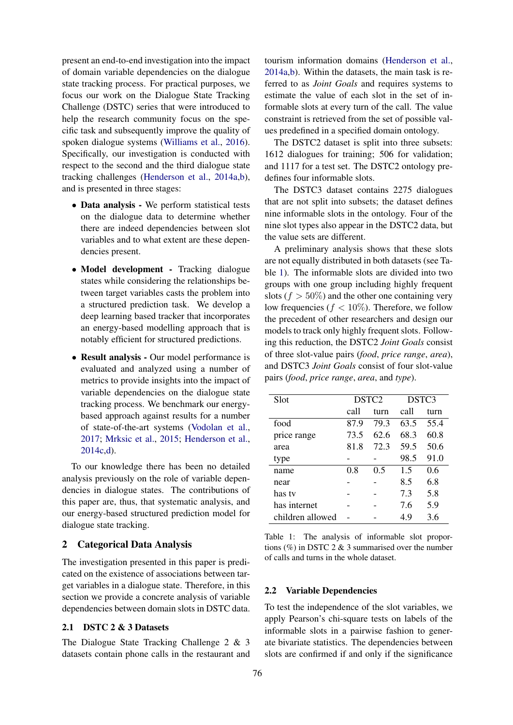present an end-to-end investigation into the impact of domain variable dependencies on the dialogue state tracking process. For practical purposes, we focus our work on the Dialogue State Tracking Challenge (DSTC) series that were introduced to help the research community focus on the specific task and subsequently improve the quality of spoken dialogue systems [\(Williams et al.,](#page-9-5) [2016\)](#page-9-5). Specifically, our investigation is conducted with respect to the second and the third dialogue state tracking challenges [\(Henderson et al.,](#page-8-9) [2014a](#page-8-9)[,b\)](#page-8-10), and is presented in three stages:

- Data analysis We perform statistical tests on the dialogue data to determine whether there are indeed dependencies between slot variables and to what extent are these dependencies present.
- Model development Tracking dialogue states while considering the relationships between target variables casts the problem into a structured prediction task. We develop a deep learning based tracker that incorporates an energy-based modelling approach that is notably efficient for structured predictions.
- Result analysis Our model performance is evaluated and analyzed using a number of metrics to provide insights into the impact of variable dependencies on the dialogue state tracking process. We benchmark our energybased approach against results for a number of state-of-the-art systems [\(Vodolan et al.,](#page-9-4) [2017;](#page-9-4) [Mrksic et al.,](#page-8-11) [2015;](#page-8-11) [Henderson et al.,](#page-8-12) [2014c](#page-8-12)[,d\)](#page-8-13).

To our knowledge there has been no detailed analysis previously on the role of variable dependencies in dialogue states. The contributions of this paper are, thus, that systematic analysis, and our energy-based structured prediction model for dialogue state tracking.

## 2 Categorical Data Analysis

The investigation presented in this paper is predicated on the existence of associations between target variables in a dialogue state. Therefore, in this section we provide a concrete analysis of variable dependencies between domain slots in DSTC data.

## 2.1 DSTC 2 & 3 Datasets

The Dialogue State Tracking Challenge 2 & 3 datasets contain phone calls in the restaurant and tourism information domains [\(Henderson et al.,](#page-8-9) [2014a,](#page-8-9)[b\)](#page-8-10). Within the datasets, the main task is referred to as *Joint Goals* and requires systems to estimate the value of each slot in the set of informable slots at every turn of the call. The value constraint is retrieved from the set of possible values predefined in a specified domain ontology.

The DSTC2 dataset is split into three subsets: 1612 dialogues for training; 506 for validation; and 1117 for a test set. The DSTC2 ontology predefines four informable slots.

The DSTC3 dataset contains 2275 dialogues that are not split into subsets; the dataset defines nine informable slots in the ontology. Four of the nine slot types also appear in the DSTC2 data, but the value sets are different.

A preliminary analysis shows that these slots are not equally distributed in both datasets (see Table [1\)](#page-1-0). The informable slots are divided into two groups with one group including highly frequent slots ( $f > 50\%$ ) and the other one containing very low frequencies ( $f < 10\%$ ). Therefore, we follow the precedent of other researchers and design our models to track only highly frequent slots. Following this reduction, the DSTC2 *Joint Goals* consist of three slot-value pairs (*food*, *price range*, *area*), and DSTC3 *Joint Goals* consist of four slot-value pairs (*food*, *price range*, *area*, and *type*).

<span id="page-1-0"></span>

| Slot             | DSTC <sub>2</sub> |      | DSTC3 |      |
|------------------|-------------------|------|-------|------|
|                  | call              | turn | call  | turn |
| food             | 87.9              | 79.3 | 63.5  | 55.4 |
| price range      | 73.5              | 62.6 | 68.3  | 60.8 |
| area             | 81.8              | 72.3 | 59.5  | 50.6 |
| type             |                   |      | 98.5  | 91.0 |
| name             | 0.8               | 0.5  | 1.5   | 0.6  |
| near             |                   |      | 8.5   | 6.8  |
| has tv           |                   |      | 7.3   | 5.8  |
| has internet     |                   |      | 7.6   | 5.9  |
| children allowed |                   |      | 4.9   | 3.6  |

Table 1: The analysis of informable slot proportions (%) in DSTC 2  $&$  3 summarised over the number of calls and turns in the whole dataset.

## 2.2 Variable Dependencies

To test the independence of the slot variables, we apply Pearson's chi-square tests on labels of the informable slots in a pairwise fashion to generate bivariate statistics. The dependencies between slots are confirmed if and only if the significance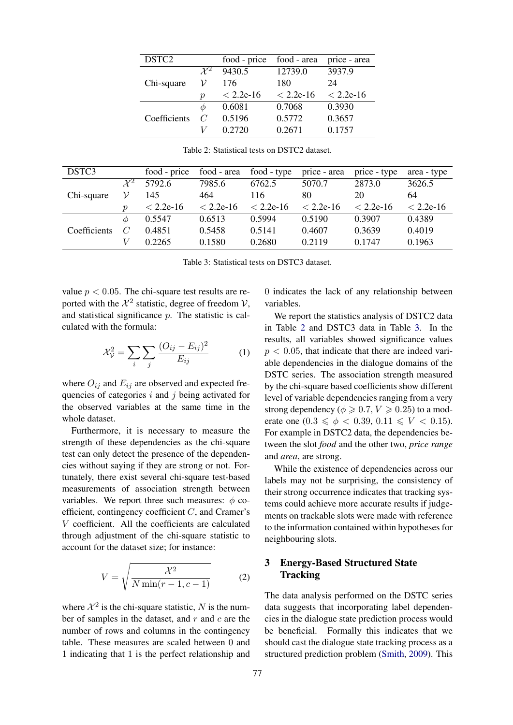<span id="page-2-0"></span>

| DSTC <sub>2</sub> |                 | food - price | food - area | price - area |
|-------------------|-----------------|--------------|-------------|--------------|
|                   | $\mathcal{X}^2$ | 9430.5       | 12739.0     | 3937.9       |
| Chi-square        | ν               | 176          | 180         | 24           |
|                   | р               | $< 2.2e-16$  | $< 2.2e-16$ | $< 2.2e-16$  |
|                   | Ф               | 0.6081       | 0.7068      | 0.3930       |
| Coefficients      | $\overline{C}$  | 0.5196       | 0.5772      | 0.3657       |
|                   |                 | 0.2720       | 0.2671      | 0.1757       |

<span id="page-2-1"></span>

| DSTC3        |                     | food - price | food - area | food - type | price - area | price - type | area - type |
|--------------|---------------------|--------------|-------------|-------------|--------------|--------------|-------------|
|              | $\mathcal{X}^2$     | 5792.6       | 7985.6      | 6762.5      | 5070.7       | 2873.0       | 3626.5      |
| Chi-square   | ν                   | 145          | 464         | 116         | 80           | 20           | 64          |
|              | $\boldsymbol{\eta}$ | $< 2.2e-16$  | $< 2.2e-16$ | $< 2.2e-16$ | $< 2.2e-16$  | $< 2.2e-16$  | $< 2.2e-16$ |
|              | $\varphi$           | 0.5547       | 0.6513      | 0.5994      | 0.5190       | 0.3907       | 0.4389      |
| Coefficients | $\mathcal C$        | 0.4851       | 0.5458      | 0.5141      | 0.4607       | 0.3639       | 0.4019      |
|              |                     | 0.2265       | 0.1580      | 0.2680      | 0.2119       | 0.1747       | 0.1963      |

Table 2: Statistical tests on DSTC2 dataset.

Table 3: Statistical tests on DSTC3 dataset.

value  $p < 0.05$ . The chi-square test results are reported with the  $\mathcal{X}^2$  statistic, degree of freedom  $\mathcal{V}$ , and statistical significance  $p$ . The statistic is calculated with the formula:

$$
\mathcal{X}_{\mathcal{V}}^2 = \sum_i \sum_j \frac{(O_{ij} - E_{ij})^2}{E_{ij}} \tag{1}
$$

where  $O_{ij}$  and  $E_{ij}$  are observed and expected frequencies of categories  $i$  and  $j$  being activated for the observed variables at the same time in the whole dataset.

Furthermore, it is necessary to measure the strength of these dependencies as the chi-square test can only detect the presence of the dependencies without saying if they are strong or not. Fortunately, there exist several chi-square test-based measurements of association strength between variables. We report three such measures:  $\phi$  coefficient, contingency coefficient C, and Cramer's V coefficient. All the coefficients are calculated through adjustment of the chi-square statistic to account for the dataset size; for instance:

$$
V = \sqrt{\frac{\mathcal{X}^2}{N \min(r - 1, c - 1)}}\tag{2}
$$

where  $\mathcal{X}^2$  is the chi-square statistic, N is the number of samples in the dataset, and  $r$  and  $c$  are the number of rows and columns in the contingency table. These measures are scaled between 0 and 1 indicating that 1 is the perfect relationship and

0 indicates the lack of any relationship between variables.

We report the statistics analysis of DSTC2 data in Table [2](#page-2-0) and DSTC3 data in Table [3.](#page-2-1) In the results, all variables showed significance values  $p < 0.05$ , that indicate that there are indeed variable dependencies in the dialogue domains of the DSTC series. The association strength measured by the chi-square based coefficients show different level of variable dependencies ranging from a very strong dependency ( $\phi \geq 0.7, V \geq 0.25$ ) to a moderate one  $(0.3 \le \phi < 0.39, 0.11 \le V < 0.15)$ . For example in DSTC2 data, the dependencies between the slot *food* and the other two, *price range* and *area*, are strong.

While the existence of dependencies across our labels may not be surprising, the consistency of their strong occurrence indicates that tracking systems could achieve more accurate results if judgements on trackable slots were made with reference to the information contained within hypotheses for neighbouring slots.

## 3 Energy-Based Structured State **Tracking**

The data analysis performed on the DSTC series data suggests that incorporating label dependencies in the dialogue state prediction process would be beneficial. Formally this indicates that we should cast the dialogue state tracking process as a structured prediction problem [\(Smith,](#page-9-6) [2009\)](#page-9-6). This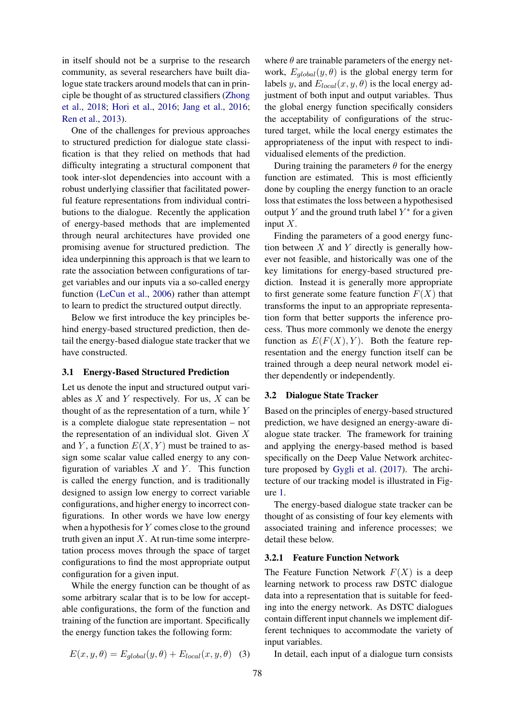in itself should not be a surprise to the research community, as several researchers have built dialogue state trackers around models that can in principle be thought of as structured classifiers [\(Zhong](#page-9-7) [et al.,](#page-9-7) [2018;](#page-9-7) [Hori et al.,](#page-8-14) [2016;](#page-8-14) [Jang et al.,](#page-8-15) [2016;](#page-8-15) [Ren et al.,](#page-9-8) [2013\)](#page-9-8).

One of the challenges for previous approaches to structured prediction for dialogue state classification is that they relied on methods that had difficulty integrating a structural component that took inter-slot dependencies into account with a robust underlying classifier that facilitated powerful feature representations from individual contributions to the dialogue. Recently the application of energy-based methods that are implemented through neural architectures have provided one promising avenue for structured prediction. The idea underpinning this approach is that we learn to rate the association between configurations of target variables and our inputs via a so-called energy function [\(LeCun et al.,](#page-8-16) [2006\)](#page-8-16) rather than attempt to learn to predict the structured output directly.

Below we first introduce the key principles behind energy-based structured prediction, then detail the energy-based dialogue state tracker that we have constructed.

## 3.1 Energy-Based Structured Prediction

Let us denote the input and structured output variables as  $X$  and  $Y$  respectively. For us,  $X$  can be thought of as the representation of a turn, while  $Y$ is a complete dialogue state representation – not the representation of an individual slot. Given  $X$ and Y, a function  $E(X, Y)$  must be trained to assign some scalar value called energy to any configuration of variables  $X$  and  $Y$ . This function is called the energy function, and is traditionally designed to assign low energy to correct variable configurations, and higher energy to incorrect configurations. In other words we have low energy when a hypothesis for Y comes close to the ground truth given an input  $X$ . At run-time some interpretation process moves through the space of target configurations to find the most appropriate output configuration for a given input.

While the energy function can be thought of as some arbitrary scalar that is to be low for acceptable configurations, the form of the function and training of the function are important. Specifically the energy function takes the following form:

$$
E(x, y, \theta) = E_{global}(y, \theta) + E_{local}(x, y, \theta)
$$
 (3)

where  $\theta$  are trainable parameters of the energy network,  $E_{alobal}(y, \theta)$  is the global energy term for labels y, and  $E_{local}(x, y, \theta)$  is the local energy adjustment of both input and output variables. Thus the global energy function specifically considers the acceptability of configurations of the structured target, while the local energy estimates the appropriateness of the input with respect to individualised elements of the prediction.

During training the parameters  $\theta$  for the energy function are estimated. This is most efficiently done by coupling the energy function to an oracle loss that estimates the loss between a hypothesised output Y and the ground truth label  $Y^*$  for a given input  $X$ .

Finding the parameters of a good energy function between  $X$  and  $Y$  directly is generally however not feasible, and historically was one of the key limitations for energy-based structured prediction. Instead it is generally more appropriate to first generate some feature function  $F(X)$  that transforms the input to an appropriate representation form that better supports the inference process. Thus more commonly we denote the energy function as  $E(F(X), Y)$ . Both the feature representation and the energy function itself can be trained through a deep neural network model either dependently or independently.

#### 3.2 Dialogue State Tracker

Based on the principles of energy-based structured prediction, we have designed an energy-aware dialogue state tracker. The framework for training and applying the energy-based method is based specifically on the Deep Value Network architecture proposed by [Gygli et al.](#page-8-17) [\(2017\)](#page-8-17). The architecture of our tracking model is illustrated in Figure [1.](#page-4-0)

The energy-based dialogue state tracker can be thought of as consisting of four key elements with associated training and inference processes; we detail these below.

#### 3.2.1 Feature Function Network

The Feature Function Network  $F(X)$  is a deep learning network to process raw DSTC dialogue data into a representation that is suitable for feeding into the energy network. As DSTC dialogues contain different input channels we implement different techniques to accommodate the variety of input variables.

In detail, each input of a dialogue turn consists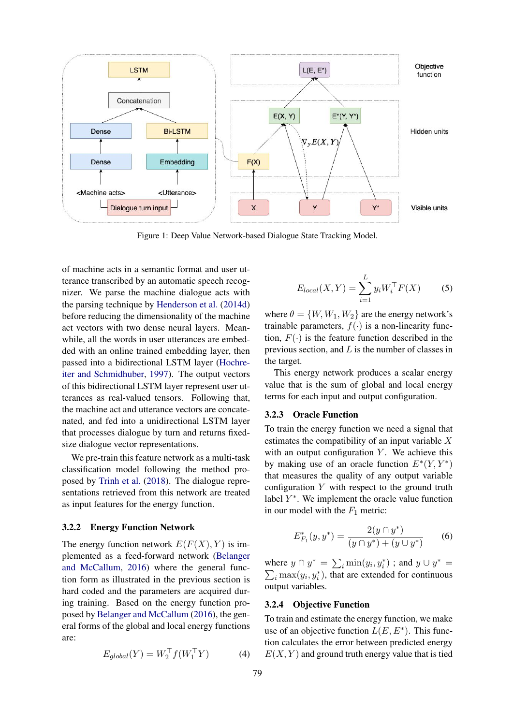<span id="page-4-0"></span>

Figure 1: Deep Value Network-based Dialogue State Tracking Model.

of machine acts in a semantic format and user utterance transcribed by an automatic speech recognizer. We parse the machine dialogue acts with the parsing technique by [Henderson et al.](#page-8-13) [\(2014d\)](#page-8-13) before reducing the dimensionality of the machine act vectors with two dense neural layers. Meanwhile, all the words in user utterances are embedded with an online trained embedding layer, then passed into a bidirectional LSTM layer [\(Hochre](#page-8-18)[iter and Schmidhuber,](#page-8-18) [1997\)](#page-8-18). The output vectors of this bidirectional LSTM layer represent user utterances as real-valued tensors. Following that, the machine act and utterance vectors are concatenated, and fed into a unidirectional LSTM layer that processes dialogue by turn and returns fixedsize dialogue vector representations.

We pre-train this feature network as a multi-task classification model following the method proposed by [Trinh et al.](#page-9-9) [\(2018\)](#page-9-9). The dialogue representations retrieved from this network are treated as input features for the energy function.

#### 3.2.2 Energy Function Network

The energy function network  $E(F(X), Y)$  is implemented as a feed-forward network [\(Belanger](#page-8-19) [and McCallum,](#page-8-19) [2016\)](#page-8-19) where the general function form as illustrated in the previous section is hard coded and the parameters are acquired during training. Based on the energy function proposed by [Belanger and McCallum](#page-8-19) [\(2016\)](#page-8-19), the general forms of the global and local energy functions are:

$$
E_{global}(Y) = W_2^{\top} f(W_1^{\top} Y) \tag{4}
$$

$$
E_{local}(X, Y) = \sum_{i=1}^{L} y_i W_i^{\top} F(X)
$$
 (5)

where  $\theta = \{W, W_1, W_2\}$  are the energy network's trainable parameters,  $f(\cdot)$  is a non-linearity function,  $F(\cdot)$  is the feature function described in the previous section, and  $L$  is the number of classes in the target.

This energy network produces a scalar energy value that is the sum of global and local energy terms for each input and output configuration.

#### 3.2.3 Oracle Function

To train the energy function we need a signal that estimates the compatibility of an input variable  $X$ with an output configuration  $Y$ . We achieve this by making use of an oracle function  $E^*(Y, Y^*)$ that measures the quality of any output variable configuration  $Y$  with respect to the ground truth label  $Y^*$ . We implement the oracle value function in our model with the  $F_1$  metric:

$$
E_{F_1}^*(y, y^*) = \frac{2(y \cap y^*)}{(y \cap y^*) + (y \cup y^*)}
$$
 (6)

where  $y \cap y^* = \sum_i \min(y_i, y_i^*)$ ; and  $y \cup y^* =$  $\sum_i \max(y_i, y_i^*)$ , that are extended for continuous output variables.

## 3.2.4 Objective Function

To train and estimate the energy function, we make use of an objective function  $L(E, E^*)$ . This function calculates the error between predicted energy  $E(X, Y)$  and ground truth energy value that is tied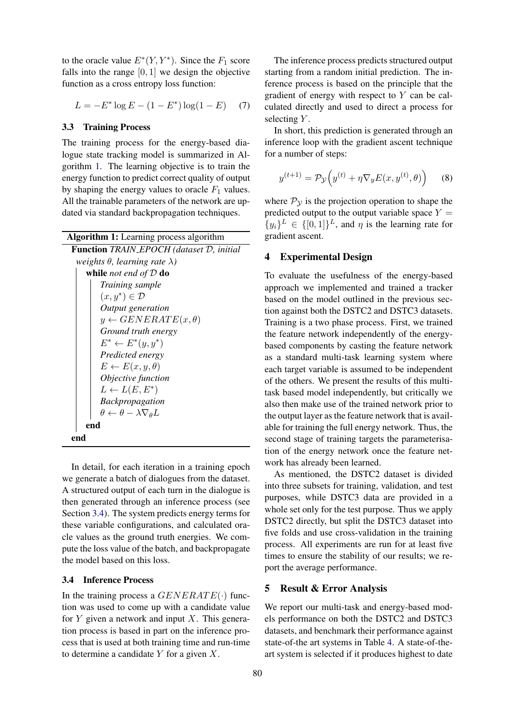to the oracle value  $E^*(Y, Y^*)$ . Since the  $F_1$  score falls into the range  $[0, 1]$  we design the objective function as a cross entropy loss function:

$$
L = -E^* \log E - (1 - E^*) \log(1 - E) \tag{7}
$$

#### 3.3 Training Process

The training process for the energy-based dialogue state tracking model is summarized in Algorithm [1.](#page-5-0) The learning objective is to train the energy function to predict correct quality of output by shaping the energy values to oracle  $F_1$  values. All the trainable parameters of the network are updated via standard backpropagation techniques.

<span id="page-5-0"></span>

| <b>Algorithm 1:</b> Learning process algorithm         |  |  |  |  |  |
|--------------------------------------------------------|--|--|--|--|--|
| <b>Function</b> TRAIN_EPOCH (dataset D, initial        |  |  |  |  |  |
| weights $\theta$ , learning rate $\lambda$ )           |  |  |  |  |  |
| while <i>not end of</i> $D$ do                         |  |  |  |  |  |
| Training sample                                        |  |  |  |  |  |
| $(x, y^*) \in \mathcal{D}$                             |  |  |  |  |  |
| Output generation                                      |  |  |  |  |  |
| $y \leftarrow GENERATE(x, \theta)$                     |  |  |  |  |  |
| Ground truth energy                                    |  |  |  |  |  |
| $E^* \leftarrow E^*(y, y^*)$                           |  |  |  |  |  |
| Predicted energy                                       |  |  |  |  |  |
| $E \leftarrow E(x, y, \theta)$                         |  |  |  |  |  |
| Objective function                                     |  |  |  |  |  |
| $L \leftarrow L(E, E^*)$                               |  |  |  |  |  |
| <b>Backpropagation</b>                                 |  |  |  |  |  |
| $\theta \leftarrow \theta - \lambda \nabla_{\theta} L$ |  |  |  |  |  |
| end                                                    |  |  |  |  |  |
|                                                        |  |  |  |  |  |

In detail, for each iteration in a training epoch we generate a batch of dialogues from the dataset. A structured output of each turn in the dialogue is then generated through an inference process (see Section [3.4\)](#page-5-1). The system predicts energy terms for these variable configurations, and calculated oracle values as the ground truth energies. We compute the loss value of the batch, and backpropagate the model based on this loss.

## <span id="page-5-1"></span>3.4 Inference Process

In the training process a  $GENERATE(·)$  function was used to come up with a candidate value for  $Y$  given a network and input  $X$ . This generation process is based in part on the inference process that is used at both training time and run-time to determine a candidate  $Y$  for a given  $X$ .

The inference process predicts structured output starting from a random initial prediction. The inference process is based on the principle that the gradient of energy with respect to  $Y$  can be calculated directly and used to direct a process for selecting Y.

In short, this prediction is generated through an inference loop with the gradient ascent technique for a number of steps:

$$
y^{(t+1)} = \mathcal{P}_{\mathcal{Y}}\Big(y^{(t)} + \eta \nabla_y E(x, y^{(t)}, \theta)\Big) \tag{8}
$$

where  $P_y$  is the projection operation to shape the predicted output to the output variable space  $Y =$  $\{y_i\}^L \in \{[0,1]\}^L$ , and  $\eta$  is the learning rate for gradient ascent.

## 4 Experimental Design

To evaluate the usefulness of the energy-based approach we implemented and trained a tracker based on the model outlined in the previous section against both the DSTC2 and DSTC3 datasets. Training is a two phase process. First, we trained the feature network independently of the energybased components by casting the feature network as a standard multi-task learning system where each target variable is assumed to be independent of the others. We present the results of this multitask based model independently, but critically we also then make use of the trained network prior to the output layer as the feature network that is available for training the full energy network. Thus, the second stage of training targets the parameterisation of the energy network once the feature network has already been learned.

As mentioned, the DSTC2 dataset is divided into three subsets for training, validation, and test purposes, while DSTC3 data are provided in a whole set only for the test purpose. Thus we apply DSTC2 directly, but split the DSTC3 dataset into five folds and use cross-validation in the training process. All experiments are run for at least five times to ensure the stability of our results; we report the average performance.

#### 5 Result & Error Analysis

We report our multi-task and energy-based models performance on both the DSTC2 and DSTC3 datasets, and benchmark their performance against state-of-the art systems in Table [4.](#page-6-0) A state-of-theart system is selected if it produces highest to date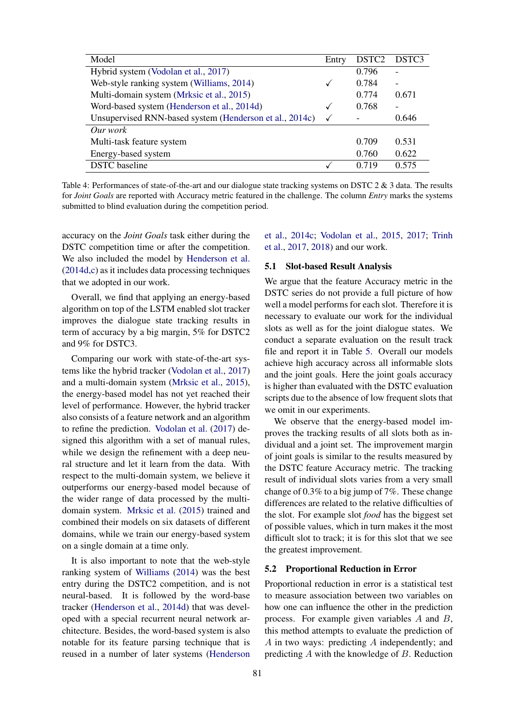<span id="page-6-0"></span>

| Model                                                   | Entry        | DSTC <sub>2</sub> | DSTC3 |
|---------------------------------------------------------|--------------|-------------------|-------|
| Hybrid system (Vodolan et al., 2017)                    |              | 0.796             |       |
| Web-style ranking system (Williams, 2014)               | ✓            | 0.784             |       |
| Multi-domain system (Mrksic et al., 2015)               |              | 0.774             | 0.671 |
| Word-based system (Henderson et al., 2014d)             | $\checkmark$ | 0.768             |       |
| Unsupervised RNN-based system (Henderson et al., 2014c) | $\checkmark$ |                   | 0.646 |
| Our work                                                |              |                   |       |
| Multi-task feature system                               |              | 0.709             | 0.531 |
| Energy-based system                                     |              | 0.760             | 0.622 |
| <b>DSTC</b> baseline                                    |              | 0.719             | 0.575 |

Table 4: Performances of state-of-the-art and our dialogue state tracking systems on DSTC 2 & 3 data. The results for *Joint Goals* are reported with Accuracy metric featured in the challenge. The column *Entry* marks the systems submitted to blind evaluation during the competition period.

accuracy on the *Joint Goals* task either during the DSTC competition time or after the competition. We also included the model by [Henderson et al.](#page-8-13) [\(2014d,](#page-8-13)[c\)](#page-8-12) as it includes data processing techniques that we adopted in our work.

Overall, we find that applying an energy-based algorithm on top of the LSTM enabled slot tracker improves the dialogue state tracking results in term of accuracy by a big margin, 5% for DSTC2 and 9% for DSTC3.

Comparing our work with state-of-the-art systems like the hybrid tracker [\(Vodolan et al.,](#page-9-4) [2017\)](#page-9-4) and a multi-domain system [\(Mrksic et al.,](#page-8-11) [2015\)](#page-8-11), the energy-based model has not yet reached their level of performance. However, the hybrid tracker also consists of a feature network and an algorithm to refine the prediction. [Vodolan et al.](#page-9-4) [\(2017\)](#page-9-4) designed this algorithm with a set of manual rules, while we design the refinement with a deep neural structure and let it learn from the data. With respect to the multi-domain system, we believe it outperforms our energy-based model because of the wider range of data processed by the multidomain system. [Mrksic et al.](#page-8-11) [\(2015\)](#page-8-11) trained and combined their models on six datasets of different domains, while we train our energy-based system on a single domain at a time only.

It is also important to note that the web-style ranking system of [Williams](#page-9-10) [\(2014\)](#page-9-10) was the best entry during the DSTC2 competition, and is not neural-based. It is followed by the word-base tracker [\(Henderson et al.,](#page-8-13) [2014d\)](#page-8-13) that was developed with a special recurrent neural network architecture. Besides, the word-based system is also notable for its feature parsing technique that is reused in a number of later systems [\(Henderson](#page-8-12)

[et al.,](#page-8-12) [2014c;](#page-8-12) [Vodolan et al.,](#page-9-11) [2015,](#page-9-11) [2017;](#page-9-4) [Trinh](#page-9-12) [et al.,](#page-9-12) [2017,](#page-9-12) [2018\)](#page-9-9) and our work.

#### 5.1 Slot-based Result Analysis

We argue that the feature Accuracy metric in the DSTC series do not provide a full picture of how well a model performs for each slot. Therefore it is necessary to evaluate our work for the individual slots as well as for the joint dialogue states. We conduct a separate evaluation on the result track file and report it in Table [5.](#page-7-0) Overall our models achieve high accuracy across all informable slots and the joint goals. Here the joint goals accuracy is higher than evaluated with the DSTC evaluation scripts due to the absence of low frequent slots that we omit in our experiments.

We observe that the energy-based model improves the tracking results of all slots both as individual and a joint set. The improvement margin of joint goals is similar to the results measured by the DSTC feature Accuracy metric. The tracking result of individual slots varies from a very small change of 0.3% to a big jump of 7%. These change differences are related to the relative difficulties of the slot. For example slot *food* has the biggest set of possible values, which in turn makes it the most difficult slot to track; it is for this slot that we see the greatest improvement.

## 5.2 Proportional Reduction in Error

Proportional reduction in error is a statistical test to measure association between two variables on how one can influence the other in the prediction process. For example given variables A and B, this method attempts to evaluate the prediction of A in two ways: predicting A independently; and predicting A with the knowledge of B. Reduction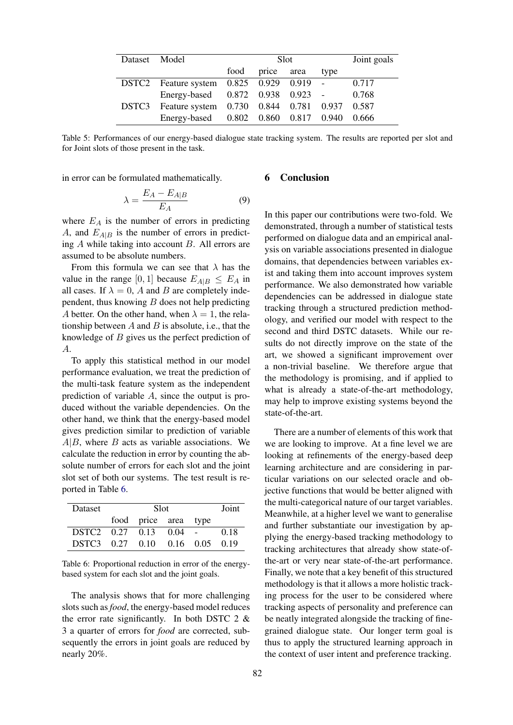<span id="page-7-0"></span>

| Dataset Model |                                                    | Slot. |            |  |      | Joint goals |
|---------------|----------------------------------------------------|-------|------------|--|------|-------------|
|               |                                                    | food  | price area |  | type |             |
|               | DSTC2 Feature system 0.825 0.929 0.919 -           |       |            |  |      | 0.717       |
|               | Energy-based 0.872 0.938 0.923 -                   |       |            |  |      | 0.768       |
|               | DSTC3 Feature system 0.730 0.844 0.781 0.937 0.587 |       |            |  |      |             |
|               | Energy-based 0.802 0.860 0.817 0.940               |       |            |  |      | 0.666       |

Table 5: Performances of our energy-based dialogue state tracking system. The results are reported per slot and for Joint slots of those present in the task.

in error can be formulated mathematically.

$$
\lambda = \frac{E_A - E_{A|B}}{E_A} \tag{9}
$$

where  $E_A$  is the number of errors in predicting A, and  $E_{A|B}$  is the number of errors in predicting A while taking into account B. All errors are assumed to be absolute numbers.

From this formula we can see that  $\lambda$  has the value in the range [0, 1] because  $E_{A|B} \leq E_A$  in all cases. If  $\lambda = 0$ , A and B are completely independent, thus knowing  $B$  does not help predicting A better. On the other hand, when  $\lambda = 1$ , the relationship between  $A$  and  $B$  is absolute, i.e., that the knowledge of  $B$  gives us the perfect prediction of A.

To apply this statistical method in our model performance evaluation, we treat the prediction of the multi-task feature system as the independent prediction of variable A, since the output is produced without the variable dependencies. On the other hand, we think that the energy-based model gives prediction similar to prediction of variable  $A|B$ , where  $B$  acts as variable associations. We calculate the reduction in error by counting the absolute number of errors for each slot and the joint slot set of both our systems. The test result is reported in Table [6.](#page-7-1)

<span id="page-7-1"></span>

| Dataset                        |  | Joint                |  |      |
|--------------------------------|--|----------------------|--|------|
|                                |  | food price area type |  |      |
| DSTC2 0.27 0.13 0.04 -         |  |                      |  | 0.18 |
| DSTC3 0.27 0.10 0.16 0.05 0.19 |  |                      |  |      |

Table 6: Proportional reduction in error of the energybased system for each slot and the joint goals.

The analysis shows that for more challenging slots such as *food*, the energy-based model reduces the error rate significantly. In both DSTC  $2 \&$ 3 a quarter of errors for *food* are corrected, subsequently the errors in joint goals are reduced by nearly 20%.

## 6 Conclusion

In this paper our contributions were two-fold. We demonstrated, through a number of statistical tests performed on dialogue data and an empirical analysis on variable associations presented in dialogue domains, that dependencies between variables exist and taking them into account improves system performance. We also demonstrated how variable dependencies can be addressed in dialogue state tracking through a structured prediction methodology, and verified our model with respect to the second and third DSTC datasets. While our results do not directly improve on the state of the art, we showed a significant improvement over a non-trivial baseline. We therefore argue that the methodology is promising, and if applied to what is already a state-of-the-art methodology, may help to improve existing systems beyond the state-of-the-art.

There are a number of elements of this work that we are looking to improve. At a fine level we are looking at refinements of the energy-based deep learning architecture and are considering in particular variations on our selected oracle and objective functions that would be better aligned with the multi-categorical nature of our target variables. Meanwhile, at a higher level we want to generalise and further substantiate our investigation by applying the energy-based tracking methodology to tracking architectures that already show state-ofthe-art or very near state-of-the-art performance. Finally, we note that a key benefit of this structured methodology is that it allows a more holistic tracking process for the user to be considered where tracking aspects of personality and preference can be neatly integrated alongside the tracking of finegrained dialogue state. Our longer term goal is thus to apply the structured learning approach in the context of user intent and preference tracking.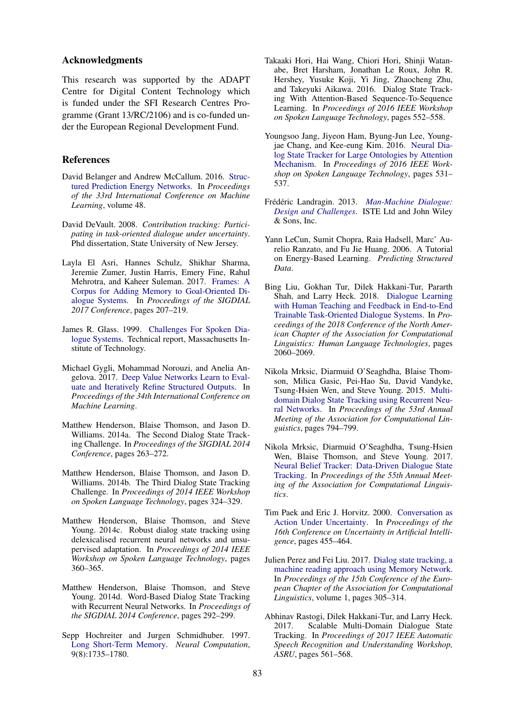## Acknowledgments

This research was supported by the ADAPT Centre for Digital Content Technology which is funded under the SFI Research Centres Programme (Grant 13/RC/2106) and is co-funded under the European Regional Development Fund.

## **References**

- <span id="page-8-19"></span>David Belanger and Andrew McCallum. 2016. [Struc](http://arxiv.org/abs/1511.06350)[tured Prediction Energy Networks.](http://arxiv.org/abs/1511.06350) In *Proceedings of the 33rd International Conference on Machine Learning*, volume 48.
- <span id="page-8-2"></span>David DeVault. 2008. *Contribution tracking: Participating in task-oriented dialogue under uncertainty*. Phd dissertation, State University of New Jersey.
- <span id="page-8-3"></span>Layla El Asri, Hannes Schulz, Shikhar Sharma, Jeremie Zumer, Justin Harris, Emery Fine, Rahul Mehrotra, and Kaheer Suleman. 2017. [Frames: A](http://arxiv.org/abs/1704.00057) [Corpus for Adding Memory to Goal-Oriented Di](http://arxiv.org/abs/1704.00057)[alogue Systems.](http://arxiv.org/abs/1704.00057) In *Proceedings of the SIGDIAL 2017 Conference*, pages 207–219.
- <span id="page-8-0"></span>James R. Glass. 1999. [Challenges For Spoken Dia](http://www.cs.cmu.edu/{~}dod/papers/glass99.pdf)[logue Systems.](http://www.cs.cmu.edu/{~}dod/papers/glass99.pdf) Technical report, Massachusetts Institute of Technology.
- <span id="page-8-17"></span>Michael Gygli, Mohammad Norouzi, and Anelia Angelova. 2017. [Deep Value Networks Learn to Eval](http://arxiv.org/abs/1703.04363)[uate and Iteratively Refine Structured Outputs.](http://arxiv.org/abs/1703.04363) In *Proceedings of the 34th International Conference on Machine Learning*.
- <span id="page-8-9"></span>Matthew Henderson, Blaise Thomson, and Jason D. Williams. 2014a. The Second Dialog State Tracking Challenge. In *Proceedings of the SIGDIAL 2014 Conference*, pages 263–272.
- <span id="page-8-10"></span>Matthew Henderson, Blaise Thomson, and Jason D. Williams. 2014b. The Third Dialog State Tracking Challenge. In *Proceedings of 2014 IEEE Workshop on Spoken Language Technology*, pages 324–329.
- <span id="page-8-12"></span>Matthew Henderson, Blaise Thomson, and Steve Young. 2014c. Robust dialog state tracking using delexicalised recurrent neural networks and unsupervised adaptation. In *Proceedings of 2014 IEEE Workshop on Spoken Language Technology*, pages 360–365.
- <span id="page-8-13"></span>Matthew Henderson, Blaise Thomson, and Steve Young. 2014d. Word-Based Dialog State Tracking with Recurrent Neural Networks. In *Proceedings of the SIGDIAL 2014 Conference*, pages 292–299.
- <span id="page-8-18"></span>Sepp Hochreiter and Jurgen Schmidhuber. 1997. [Long Short-Term Memory.](https://doi.org/10.1162/neco.1997.9.8.1735) *Neural Computation*, 9(8):1735–1780.
- <span id="page-8-14"></span>Takaaki Hori, Hai Wang, Chiori Hori, Shinji Watanabe, Bret Harsham, Jonathan Le Roux, John R. Hershey, Yusuke Koji, Yi Jing, Zhaocheng Zhu, and Takeyuki Aikawa. 2016. Dialog State Tracking With Attention-Based Sequence-To-Sequence Learning. In *Proceedings of 2016 IEEE Workshop on Spoken Language Technology*, pages 552–558.
- <span id="page-8-15"></span>Youngsoo Jang, Jiyeon Ham, Byung-Jun Lee, Youngjae Chang, and Kee-eung Kim. 2016. [Neural Dia](https://doi.org/10.1109/SLT.2016.7846314)[log State Tracker for Large Ontologies by Attention](https://doi.org/10.1109/SLT.2016.7846314) [Mechanism.](https://doi.org/10.1109/SLT.2016.7846314) In *Proceedings of 2016 IEEE Workshop on Spoken Language Technology*, pages 531– 537.
- <span id="page-8-8"></span>Frédéric Landragin. 2013. [Man-Machine Dialogue:](https://doi.org/10.1002/9781118578681) *[Design and Challenges](https://doi.org/10.1002/9781118578681)*. ISTE Ltd and John Wiley & Sons, Inc.
- <span id="page-8-16"></span>Yann LeCun, Sumit Chopra, Raia Hadsell, Marc' Aurelio Ranzato, and Fu Jie Huang. 2006. A Tutorial on Energy-Based Learning. *Predicting Structured Data*.
- <span id="page-8-7"></span>Bing Liu, Gokhan Tur, Dilek Hakkani-Tur, Pararth Shah, and Larry Heck. 2018. [Dialogue Learning](http://arxiv.org/abs/1804.06512) [with Human Teaching and Feedback in End-to-End](http://arxiv.org/abs/1804.06512) [Trainable Task-Oriented Dialogue Systems.](http://arxiv.org/abs/1804.06512) In *Proceedings of the 2018 Conference of the North American Chapter of the Association for Computational Linguistics: Human Language Technologies*, pages 2060–2069.
- <span id="page-8-11"></span>Nikola Mrksic, Diarmuid O'Seaghdha, Blaise Thomson, Milica Gasic, Pei-Hao Su, David Vandyke, Tsung-Hsien Wen, and Steve Young. 2015. [Multi](http://arxiv.org/abs/1506.07190)[domain Dialog State Tracking using Recurrent Neu](http://arxiv.org/abs/1506.07190)[ral Networks.](http://arxiv.org/abs/1506.07190) In *Proceedings of the 53rd Annual Meeting of the Association for Computational Linguistics*, pages 794–799.
- <span id="page-8-5"></span>Nikola Mrksic, Diarmuid O'Seaghdha, Tsung-Hsien Wen, Blaise Thomson, and Steve Young. 2017. [Neural Belief Tracker: Data-Driven Dialogue State](https://doi.org/10.18653/v1/P17-1163) [Tracking.](https://doi.org/10.18653/v1/P17-1163) In *Proceedings of the 55th Annual Meeting of the Association for Computational Linguistics*.
- <span id="page-8-1"></span>Tim Paek and Eric J. Horvitz. 2000. [Conversation as](http://portal.acm.org/citation.cfm?id=719764) [Action Under Uncertainty.](http://portal.acm.org/citation.cfm?id=719764) In *Proceedings of the 16th Conference on Uncertainty in Artificial Intelligence*, pages 455–464.
- <span id="page-8-4"></span>Julien Perez and Fei Liu. 2017. [Dialog state tracking, a](http://arxiv.org/abs/1606.04052) [machine reading approach using Memory Network.](http://arxiv.org/abs/1606.04052) In *Proceedings of the 15th Conference of the European Chapter of the Association for Computational Linguistics*, volume 1, pages 305–314.
- <span id="page-8-6"></span>Abhinav Rastogi, Dilek Hakkani-Tur, and Larry Heck. 2017. Scalable Multi-Domain Dialogue State Tracking. In *Proceedings of 2017 IEEE Automatic Speech Recognition and Understanding Workshop, ASRU*, pages 561–568.